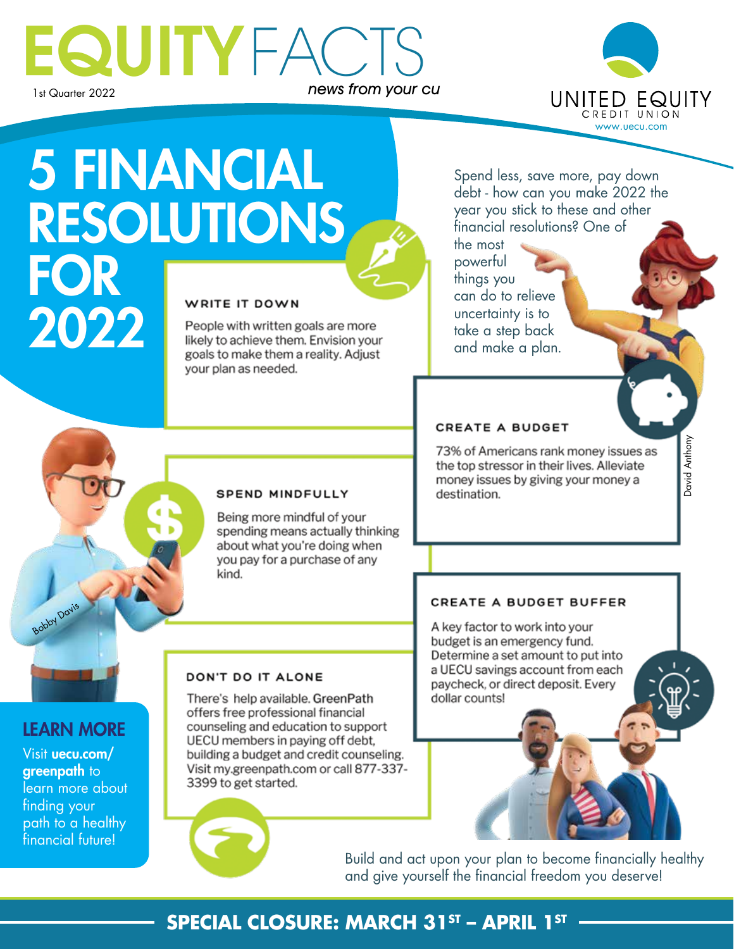## EQUITYFACTS news from your cu



Dustin Swanson

David Anthony

Javid Anthony

# 5 FINANCIAL **RESOLUTIONS** FOR WRITE IT DOWN 2022

People with written goals are more likely to achieve them. Envision your goals to make them a reality. Adjust your plan as needed.

**SPEND MINDFULLY** 

Being more mindful of your spending means actually thinking about what you're doing when you pay for a purchase of any

Spend less, save more, pay down debt - how can you make 2022 the year you stick to these and other financial resolutions? One of the most

powerful things you can do to relieve uncertainty is to take a step back and make a plan.

#### CREATE A BUDGET

73% of Americans rank money issues as the top stressor in their lives. Alleviate money issues by giving your money a destination.

#### CREATE A BUDGET BUFFER

A key factor to work into your budget is an emergency fund. Determine a set amount to put into a UECU savings account from each paycheck, or direct deposit. Every dollar counts!

#### LEARN MORE

Bobby Davis

Visit uecu.com/ greenpath to learn more about finding your path to a healthy financial future!

#### DON'T DO IT ALONE

kind.

There's help available. GreenPath offers free professional financial counseling and education to support UECU members in paying off debt, building a budget and credit counseling. Visit my.greenpath.com or call 877-337-3399 to get started.



Build and act upon your plan to become financially healthy and give yourself the financial freedom you deserve!

#### **SPECIAL CLOSURE: MARCH 31ST - APRIL 1ST -**